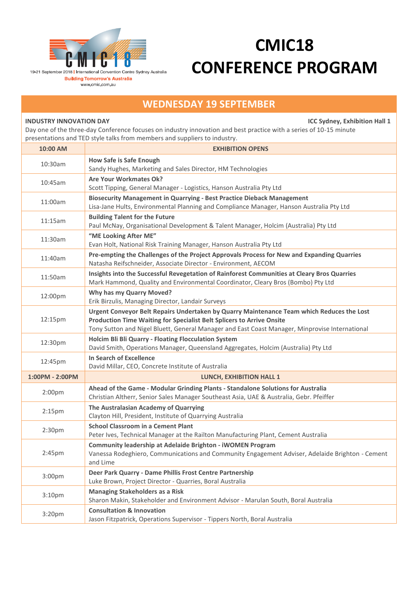

## **CMIC18 CONFERENCE PROGRAM**

## **WEDNESDAY 19 SEPTEMBER**

**INDUSTRY INNOVATION DAY ICC Sydney, Exhibition Hall 1**

Day one of the three-day Conference focuses on industry innovation and best practice with a series of 10-15 minute presentations and TED style talks from members and suppliers to industry.

| 10:00 AM           | <b>EXHIBITION OPENS</b>                                                                                                                                                                                                                                              |
|--------------------|----------------------------------------------------------------------------------------------------------------------------------------------------------------------------------------------------------------------------------------------------------------------|
| 10:30am            | <b>How Safe is Safe Enough</b><br>Sandy Hughes, Marketing and Sales Director, HM Technologies                                                                                                                                                                        |
| 10:45am            | Are Your Workmates Ok?<br>Scott Tipping, General Manager - Logistics, Hanson Australia Pty Ltd                                                                                                                                                                       |
| 11:00am            | <b>Biosecurity Management in Quarrying - Best Practice Dieback Management</b><br>Lisa-Jane Hults, Environmental Planning and Compliance Manager, Hanson Australia Pty Ltd                                                                                            |
| 11:15am            | <b>Building Talent for the Future</b><br>Paul McNay, Organisational Development & Talent Manager, Holcim (Australia) Pty Ltd                                                                                                                                         |
| 11:30am            | "ME Looking After ME"<br>Evan Holt, National Risk Training Manager, Hanson Australia Pty Ltd                                                                                                                                                                         |
| 11:40am            | Pre-empting the Challenges of the Project Approvals Process for New and Expanding Quarries<br>Natasha Reifschneider, Associate Director - Environment, AECOM                                                                                                         |
| 11:50am            | Insights into the Successful Revegetation of Rainforest Communities at Cleary Bros Quarries<br>Mark Hammond, Quality and Environmental Coordinator, Cleary Bros (Bombo) Pty Ltd                                                                                      |
| 12:00pm            | Why has my Quarry Moved?<br>Erik Birzulis, Managing Director, Landair Surveys                                                                                                                                                                                        |
| 12:15pm            | Urgent Conveyor Belt Repairs Undertaken by Quarry Maintenance Team which Reduces the Lost<br>Production Time Waiting for Specialist Belt Splicers to Arrive Onsite<br>Tony Sutton and Nigel Bluett, General Manager and East Coast Manager, Minprovise International |
| 12:30pm            | Holcim Bli Bli Quarry - Floating Flocculation System<br>David Smith, Operations Manager, Queensland Aggregates, Holcim (Australia) Pty Ltd                                                                                                                           |
| 12:45pm            | In Search of Excellence<br>David Millar, CEO, Concrete Institute of Australia                                                                                                                                                                                        |
| 1:00PM - 2:00PM    | <b>LUNCH, EXHIBITION HALL 1</b>                                                                                                                                                                                                                                      |
| 2:00 <sub>pm</sub> | Ahead of the Game - Modular Grinding Plants - Standalone Solutions for Australia<br>Christian Altherr, Senior Sales Manager Southeast Asia, UAE & Australia, Gebr. Pfeiffer                                                                                          |
| 2:15 <sub>pm</sub> | The Australasian Academy of Quarrying<br>Clayton Hill, President, Institute of Quarrying Australia                                                                                                                                                                   |
| 2:30 <sub>pm</sub> | <b>School Classroom in a Cement Plant</b><br>Peter Ives, Technical Manager at the Railton Manufacturing Plant, Cement Australia                                                                                                                                      |
| 2:45 <sub>pm</sub> | Community leadership at Adelaide Brighton - iWOMEN Program<br>Vanessa Rodeghiero, Communications and Community Engagement Adviser, Adelaide Brighton - Cement<br>and Lime                                                                                            |
| 3:00pm             | Deer Park Quarry - Dame Phillis Frost Centre Partnership<br>Luke Brown, Project Director - Quarries, Boral Australia                                                                                                                                                 |
| 3:10pm             | <b>Managing Stakeholders as a Risk</b><br>Sharon Makin, Stakeholder and Environment Advisor - Marulan South, Boral Australia                                                                                                                                         |
| 3:20pm             | <b>Consultation &amp; Innovation</b><br>Jason Fitzpatrick, Operations Supervisor - Tippers North, Boral Australia                                                                                                                                                    |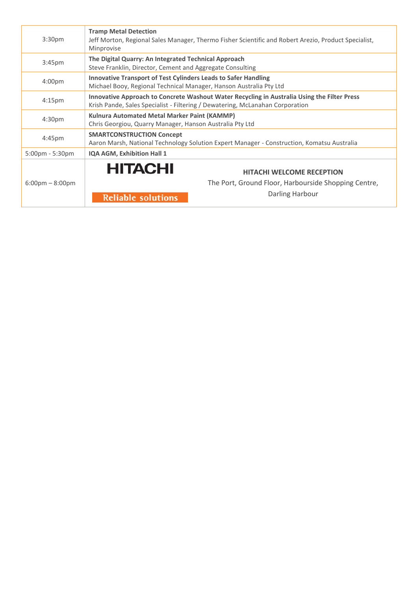| 3:30pm                            | <b>Tramp Metal Detection</b><br>Jeff Morton, Regional Sales Manager, Thermo Fisher Scientific and Robert Arezio, Product Specialist,<br>Minprovise                           |  |  |  |
|-----------------------------------|------------------------------------------------------------------------------------------------------------------------------------------------------------------------------|--|--|--|
| 3:45 <sub>pm</sub>                | The Digital Quarry: An Integrated Technical Approach<br>Steve Franklin, Director, Cement and Aggregate Consulting                                                            |  |  |  |
| 4:00 <sub>pm</sub>                | <b>Innovative Transport of Test Cylinders Leads to Safer Handling</b><br>Michael Booy, Regional Technical Manager, Hanson Australia Pty Ltd                                  |  |  |  |
| 4:15 <sub>pm</sub>                | Innovative Approach to Concrete Washout Water Recycling in Australia Using the Filter Press<br>Krish Pande, Sales Specialist - Filtering / Dewatering, McLanahan Corporation |  |  |  |
| 4:30 <sub>pm</sub>                | Kulnura Automated Metal Marker Paint (KAMMP)<br>Chris Georgiou, Quarry Manager, Hanson Australia Pty Ltd                                                                     |  |  |  |
| $4:45 \text{pm}$                  | <b>SMARTCONSTRUCTION Concept</b><br>Aaron Marsh, National Technology Solution Expert Manager - Construction, Komatsu Australia                                               |  |  |  |
| 5:00pm - 5:30pm                   | IQA AGM, Exhibition Hall 1                                                                                                                                                   |  |  |  |
| $6:00 \text{pm} - 8:00 \text{pm}$ | <b>HITACHI</b><br><b>HITACHI WELCOME RECEPTION</b><br>The Port, Ground Floor, Harbourside Shopping Centre,<br>Darling Harbour<br><b>Reliable solutions</b>                   |  |  |  |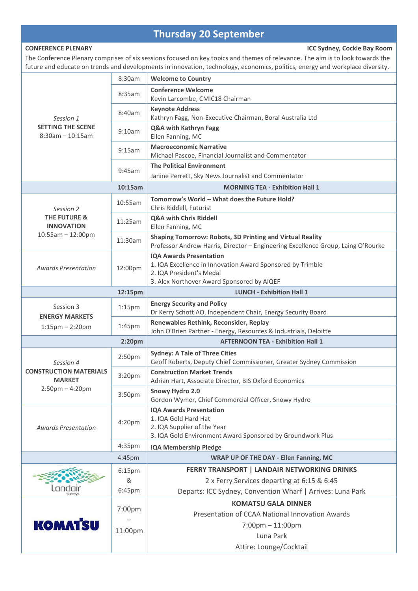## **Thursday 20 September**

**CONFERENCE PLENARY ICC Sydney, Cockle Bay Room**

The Conference Plenary comprises of six sessions focused on key topics and themes of relevance. The aim is to look towards the future and educate on trends and developments in innovation, technology, economics, politics, energy and workplace diversity.

|                                                              | 8:30am             | <b>Welcome to Country</b>                                                                                                                                              |
|--------------------------------------------------------------|--------------------|------------------------------------------------------------------------------------------------------------------------------------------------------------------------|
|                                                              | 8:35am             | <b>Conference Welcome</b><br>Kevin Larcombe, CMIC18 Chairman                                                                                                           |
| Session 1<br><b>SETTING THE SCENE</b><br>$8:30$ am - 10:15am | 8:40am             | <b>Keynote Address</b><br>Kathryn Fagg, Non-Executive Chairman, Boral Australia Ltd                                                                                    |
|                                                              | 9:10am             | Q&A with Kathryn Fagg<br>Ellen Fanning, MC                                                                                                                             |
|                                                              | 9:15am             | <b>Macroeconomic Narrative</b><br>Michael Pascoe, Financial Journalist and Commentator                                                                                 |
|                                                              | 9:45am             | <b>The Political Environment</b><br>Janine Perrett, Sky News Journalist and Commentator                                                                                |
|                                                              | 10:15am            | <b>MORNING TEA - Exhibition Hall 1</b>                                                                                                                                 |
| Session 2                                                    | 10:55am            | Tomorrow's World - What does the Future Hold?<br>Chris Riddell, Futurist                                                                                               |
| <b>THE FUTURE &amp;</b><br><b>INNOVATION</b>                 | 11:25am            | Q&A with Chris Riddell<br>Ellen Fanning, MC                                                                                                                            |
| $10:55am - 12:00pm$                                          | 11:30am            | <b>Shaping Tomorrow: Robots, 3D Printing and Virtual Reality</b><br>Professor Andrew Harris, Director - Engineering Excellence Group, Laing O'Rourke                   |
| <b>Awards Presentation</b>                                   | 12:00pm            | <b>IQA Awards Presentation</b><br>1. IQA Excellence in Innovation Award Sponsored by Trimble<br>2. IQA President's Medal<br>3. Alex Northover Award Sponsored by AIQEF |
|                                                              | 12:15pm            | <b>LUNCH - Exhibition Hall 1</b>                                                                                                                                       |
| Session 3                                                    | 1:15 <sub>pm</sub> | <b>Energy Security and Policy</b><br>Dr Kerry Schott AO, Independent Chair, Energy Security Board                                                                      |
| <b>ENERGY MARKETS</b><br>$1:15$ pm $- 2:20$ pm               | 1:45 <sub>pm</sub> | Renewables Rethink, Reconsider, Replay<br>John O'Brien Partner - Energy, Resources & Industrials, Deloitte                                                             |
|                                                              | 2:20 <sub>pm</sub> | <b>AFTERNOON TEA - Exhibition Hall 1</b>                                                                                                                               |
| Session 4                                                    | 2:50pm             | <b>Sydney: A Tale of Three Cities</b><br>Geoff Roberts, Deputy Chief Commissioner, Greater Sydney Commission                                                           |
| <b>CONSTRUCTION MATERIALS</b><br><b>MARKET</b>               | 3:20pm             | <b>Construction Market Trends</b><br>Adrian Hart, Associate Director, BIS Oxford Economics                                                                             |
| $2:50$ pm $-4:20$ pm                                         | 3:50pm             | Snowy Hydro 2.0<br>Gordon Wymer, Chief Commercial Officer, Snowy Hydro                                                                                                 |
|                                                              |                    | <b>IQA Awards Presentation</b>                                                                                                                                         |
| <b>Awards Presentation</b>                                   | 4:20 <sub>pm</sub> | 1. IQA Gold Hard Hat<br>2. IQA Supplier of the Year<br>3. IQA Gold Environment Award Sponsored by Groundwork Plus                                                      |
|                                                              | 4:35pm             | <b>IQA Membership Pledge</b>                                                                                                                                           |
|                                                              | 4:45pm             | WRAP UP OF THE DAY - Ellen Fanning, MC                                                                                                                                 |
|                                                              | 6:15 <sub>pm</sub> | <b>FERRY TRANSPORT   LANDAIR NETWORKING DRINKS</b>                                                                                                                     |
|                                                              | &                  | 2 x Ferry Services departing at 6:15 & 6:45                                                                                                                            |
|                                                              | 6:45pm             | Departs: ICC Sydney, Convention Wharf   Arrives: Luna Park                                                                                                             |
|                                                              | 7:00pm             | <b>KOMATSU GALA DINNER</b><br>Presentation of CCAA National Innovation Awards                                                                                          |
| <b>KOMATSU</b>                                               |                    | $7:00 \text{pm} - 11:00 \text{pm}$                                                                                                                                     |
|                                                              | 11:00pm            | Luna Park<br>Attire: Lounge/Cocktail                                                                                                                                   |